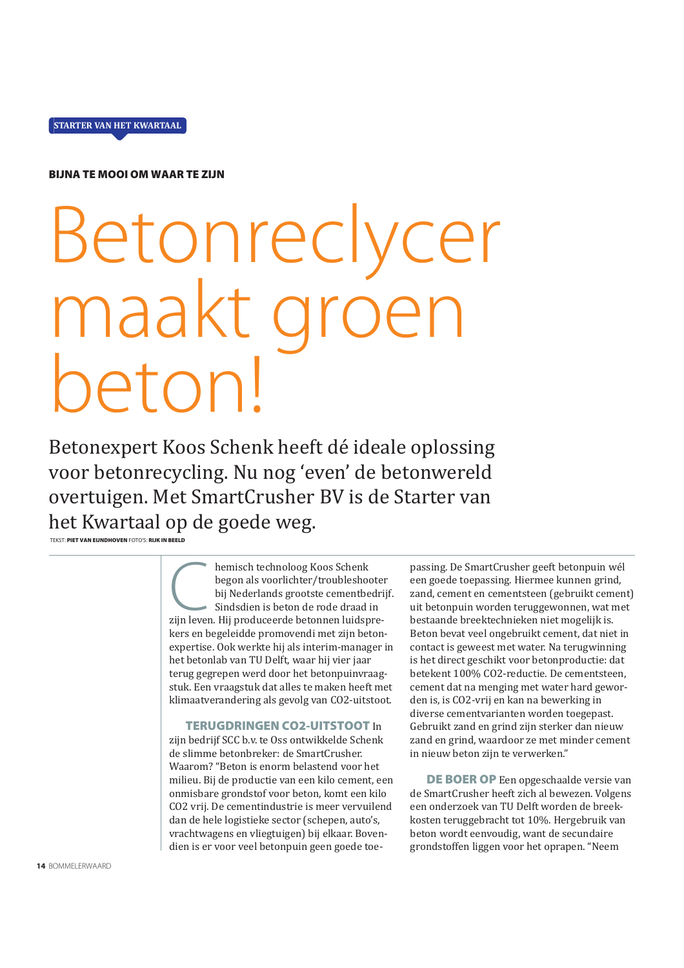

**BIJNA TE MOOI OM WAAR TE ZIJN** 

## Betonreclycer maakt gróe netonl

Betonexpert Koos Schenk heeft dé ideale oplossing voor betonrecycling. Nu nog 'even' de betonwereld overtuigen. Met SmartCrusher BV is de Starter van het Kwartaal op de goede weg.

TEKST: PIET VAN EIJNDHOVEN FOTO'S: RIJK IN BEELD

hemisch technoloog Koos Schenk begon als voorlichter/troubleshooter bij Nederlands grootste cementbedrijf. Sindsdien is beton de rode draad in zijn leven. Hij produceerde betonnen luidsprekers en begeleidde promovendi met zijn betonexpertise. Ook werkte hij als interim-manager in het betonlab van TU Delft, waar hij vier jaar terug gegrepen werd door het betonpuinvraagstuk. Een vraagstuk dat alles te maken heeft met klimaatverandering als gevolg van CO2-uitstoot.

## **TERUGDRINGEN CO2-UITSTOOT In**

zijn bedrijf SCC b.v. te Oss ontwikkelde Schenk de slimme betonbreker: de SmartCrusher. Waarom? "Beton is enorm belastend voor het milieu. Bij de productie van een kilo cement, een onmisbare grondstof voor beton, komt een kilo CO2 vrij. De cementindustrie is meer vervuilend dan de hele logistieke sector (schepen, auto's, vrachtwagens en vliegtuigen) bij elkaar. Bovendien is er voor veel betonpuin geen goede toepassing. De SmartCrusher geeft betonpuin wél een goede toepassing. Hiermee kunnen grind, zand, cement en cementsteen (gebruikt cement) uit betonpuin worden teruggewonnen, wat met bestaande breektechnieken niet mogelijk is. Beton bevat veel ongebruikt cement, dat niet in contact is geweest met water. Na terugwinning is het direct geschikt voor betonproductie: dat betekent 100% CO2-reductie. De cementsteen, cement dat na menging met water hard geworden is, is CO2-vrij en kan na bewerking in diverse cementvarianten worden toegepast. Gebruikt zand en grind zijn sterker dan nieuw zand en grind, waardoor ze met minder cement in nieuw beton zijn te verwerken."

DE BOER OP Een opgeschaalde versie van de SmartCrusher heeft zich al bewezen. Volgens een onderzoek van TU Delft worden de breekkosten teruggebracht tot 10%. Hergebruik van beton wordt eenvoudig, want de secundaire grondstoffen liggen voor het oprapen. "Neem